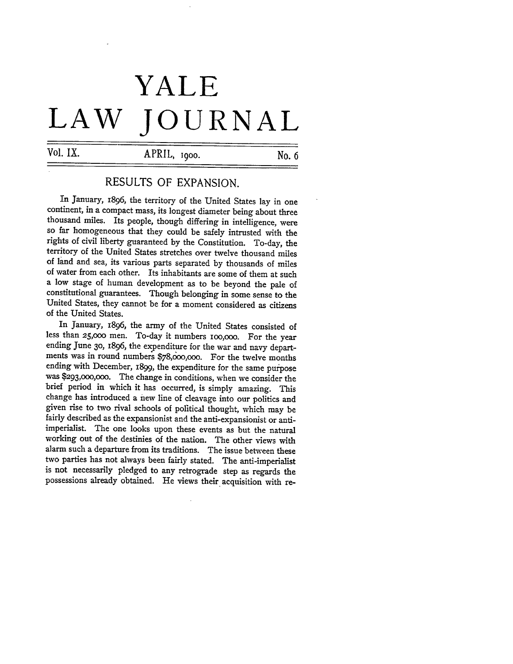## **YALE LAW JOURNAL**

Vol. IX. **APRIL**, 1900. **No. 6** 

## RESULTS OF EXPANSION.

In January, 1896, the territory of the United States lay in one continent, in a compact mass, its longest diameter being about three thousand miles. Its people, though differing in intelligence, were so far homogeneous that they could be safely intrusted with the rights of civil liberty guaranteed by the Constitution. To-day, the territory of the United States stretches over twelve thousand miles of land and sea, its various parts separated by thousands of miles of water from each other. Its inhabitants are some of them at such a low stage of human development as to be beyond the pale of constitutional guarantees. Though belonging in some sense to the United States, they cannot be for a moment considered as citizens of the United States.

In January, 1896, the army of the United States consisted of less than **25,000** men. To-day it numbers ioo,ooo. For the year ending June **30,** 1896, the expenditure for the war and navy departments was in round numbers \$78,6oo,ooo. For the twelve months ending with December, 1899, the expenditure for the same purpose was \$293,ooo,ooo. The change in conditions, when we consider the brief period in which it has occurred, is simply amazing. This change has introduced a new line of cleavage into our politics and given rise to two rival schools of political thought, which may be fairly described as the expansionist and the anti-expansionist or antiimperialist. The one looks upon these events as but the natural working out of the destinies of the nation. The other views with alarm such a departure from its traditions. The issue between these two parties has not always been fairly stated. The anti-imperialist is not necessarily pledged to any retrograde step as regards the possessions already obtained. He views their acquisition with re-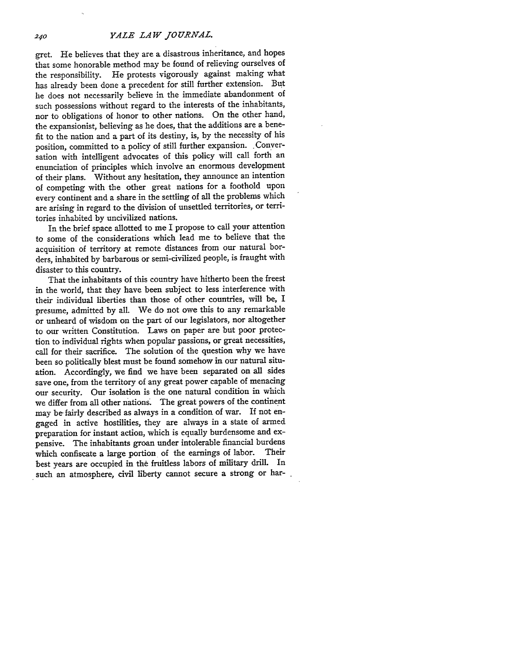gret. He believes that they are a disastrous inheritance, and hopes that some honorable method may be found of relieving ourselves of the responsibility. He protests vigorously against making what has already been done a precedent for still further extension. But he does not necessarily believe in the immediate abandonment of such possessions without regard to the interests of the inhabitants, nor to obligations of honor to other nations. On the other hand, the expansionist, believing as he does, that the additions are a benefit to the nation and a part of its destiny, is, by the necessity of his position, committed to a policy of still further expansion. Conversation with intelligent advocates of this policy will call forth an enunciation of principles which involve an enormous development of their plans. Without any hesitation, they announce an intention of competing with the other great nations for a foothold upon every continent and a share in the settling of all the problems which are arising in regard to the division of unsettled territories, or territories inhabited **by** uncivilized nations.

In the brief space allotted to me I propose to call your attention to some of the considerations which lead me to believe that the acquisition of territory at remote distances from our natural borders, inhabited **by** barbarous or semi-civilized people, is fraught with disaster to this country.

That the inhabitants of this country have hitherto been the freest in the world, that they have been subject to less interference with their individual liberties than those of other countries, will be, I presume, admitted **by** all. We do not owe this to any remarkable or unheard of wisdom on the part of our legislators, nor altogether to our written Constitution. Laws on paper are but poor protection to individual rights when popular passions, or great necessities, call for their sacrifice. The solution of the question why we have been so politically blest must be found somehow in our natural situation. Accordingly, we find we have been separated on all sides save one, from the territory of any great power capable of menacing our security. Our isolation is the one natural condition in which we differ from all other nations. The great powers of the continent may be fairly described as always in a condition of war. If not engaged in active hostilities, they are always in a state of armed preparation for instant action, which is equally burdensome and expensive. The inhabitants groan under intolerable financial burdens which confiscate a large portion of the earnings of labor. best years are occupied in the fruitless labors of military drill. In such an atmosphere, civil liberty cannot secure a strong or har-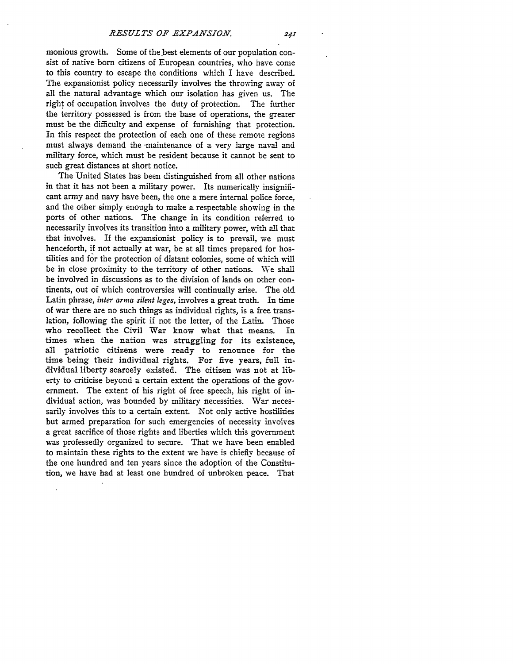241

monious growth. Some of the best elements of our population consist of native born citizens of European countries, who have come to this country to escape the conditions which I have described. The expansionist policy necessarily involves the throwing away of all the natural advantage which our isolation has given us. The right of occupation involves the duty of protection. The further the territory possessed is from the base of operations, the greater must be the difficulty and expense of furnishing that protection. In this respect the protection of each one of these remote regions must always demand the -maintenance of a very large naval and military force, which must be resident because it cannot be sent to such great distances at short notice.

The United States has been distinguished from all other nations in that it has not been a military power. Its numerically insignificant army and navy have been, the one a mere internal police force, and the other simply enough to make a respectable showing in the ports of other nations. The change in its condition referred to necessarily involves its transition into a military power, with all that that involves. If the expansionist policy is to prevail, we must henceforth, if not actually at war, be at all times prepared for hostilities and for the protection of distant colonies, some of which will be in close proximity to the territory of other nations. We shall be involved in discussions as to the division of lands on other continents, out of which controversies will continually arise. The old Latin phrase, *inter arma silent leges*, involves a great truth. In time of war there are no such things as individual rights, is a free translation, following the spirit if not the letter, of the Latin. Those who recollect the Civil War know what that means. In times when the nation was struggling for its existence, all patriotic citizens were ready to renounce for the time being their individual rights. For five years, full individual liberty scarcely existed. The citizen was not at liberty to criticise beyond a certain extent the operations of the government. The extent of his right of free speech, his right of individual action, was bounded by military necessities. War necessarily involves this to a certain extent. Not only active hostilities but armed preparation for such emergencies of necessity involves a great sacrifice of those rights and liberties which this government was professedly organized to secure. That we have been enabled to maintain these rights to the extent we have is chiefly because of the one hundred and ten years since the adoption of the Constitution, we have had at least one hundred of unbroken peace. That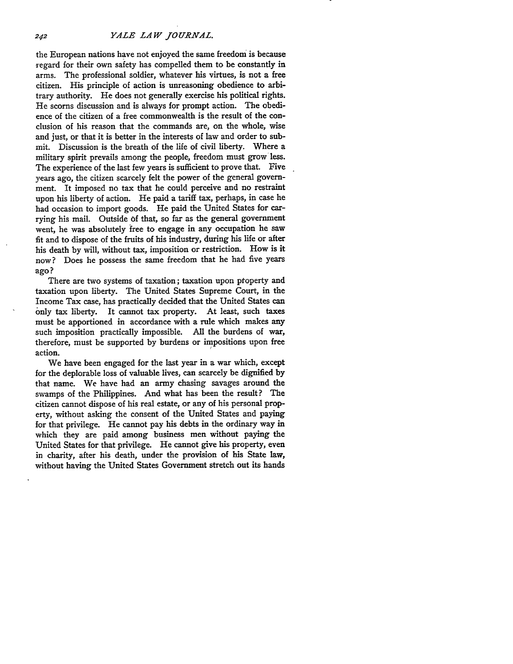the European nations have not enjoyed the same freedom is because regard for their own safety has compelled them to be constantly in arms. The professional soldier, whatever his virtues, is not a free citizen. His principle of action is unreasoning obedience to arbitrary authority. He does not generally exercise his political rights. He scorns discussion and is always for prompt action. The obedience of the citizen of a free commonwealth is the result of the conclusion of his reason that the commands are, on the whole, wise and just, or that it is better in the interests of law and order to submit. Discussion is the breath of the life of civil liberty. Where a military spirit prevails among the people, freedom must grow less. The experience of the last few years is sufficient to prove that. Five years ago, the citizen scarcely felt the power of the general government. It imposed no tax that he could perceive and no restraint upon his liberty of action. He paid a tariff tax, perhaps, in case he had occasion to import goods. He paid the United States for carrying his mail. Outside of that, so far as the general government went, he was absolutely free to engage in any occupation he saw fit and to dispose of the fruits of his industry, during his life or after his death **by** will, without tax, imposition or restriction. How is it now? Does he possess the same freedom that he had five years ago?

There are two systems of taxation; taxation upon ptoperty and taxation upon liberty. The United States Supreme Court, in the Income Tax case, has practically decided that the United States can only tax liberty. It cannot tax property. At least, such taxes must be apportioned in accordance with a rule which makes any such imposition practically impossible. **All** the burdens of war, therefore, must be supported **by** burdens or impositions upon free action.

We have been engaged for the last year in a war which, except for the deplorable loss of valuable lives, can scarcely be dignified **by** that name. We have had an army chasing savages around the swamps of the Philippines. And what has been the result? The citizen cannot dispose of his real estate, or any of his personal property, without asking the consent of the United States and paying for that privilege. He cannot pay his debts in the ordinary way in which they are paid among business men without paying the United States for that privilege. He cannot give his property, even in charity, after his death, under the provision of his State law, without having the United States Government stretch out its hands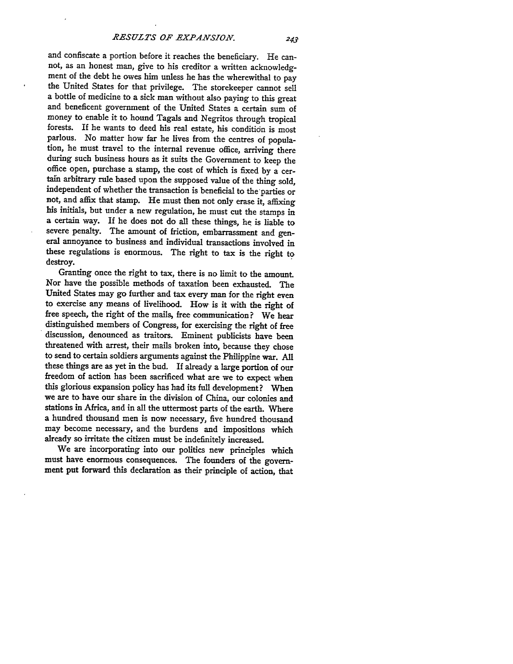and confiscate a portion before it reaches the beneficiary. He cannot, as an honest man, give to his creditor a written acknowledgment of the debt he owes him unless he has the wherewithal to pay the United States for that privilege. The storekeeper cannot sell a bottle of medicine to a sick man without also paving to this great and beneficent government of the United States a certain sum of money to enable it to hound Tagals and Negritos through tropical forests. If he wants to deed his real estate, his condition is most parlous. No matter how far he lives from the centres of population, he must travel to the internal revenue office, arriving there during such business hours as it suits the Government to keep the office open, purchase a stamp, the cost of which is fixed by a certain arbitrary rule based upon the supposed value of the thing sold, independent of whether the transaction is beneficial to the'parties or not, and affix that stamp. He must then not only erase it, affixing his initials, but under a new regulation, he must cut the stamps in a certain way. If he does not do all these things, he is liable to severe penalty. The amount of friction, embarrassment and general annoyance to business and individual transactions involved in these regulations is enormous. The right to tax is the right to destroy.

Granting once the right to tax, there is no limit to the amount. Nor have the possible methods of taxation been exhausted. The United States may go further and tax every man for the right even to exercise any means of livelihood. How is it with the right of free speech, the right of the mails, free communication? We hear distinguished members of Congress, for exercising the right of free discussion, denounced as traitors. Eminent publicists have been threatened with arrest, their mails broken into, because they chose to send to certain soldiers arguments against the Philippine war. All these things are as yet in the bud. If already a large portion of our freedom of action has been sacrificed what are we to expect when this glorious expansion policy has had its fall development? When we are to have our share in the division of China, our colonies and stations in Africa, and in all the uttermost parts of the earth. Where a hundred thousand men is now necessary, five hundred thousand may become necessary, and the burdens and impositions which already so irritate the citizen must be indefinitely increased.

We are incorporating into our politics new principles which must have enormous consequences. The founders of the government put forward this declaration as their principle of action, that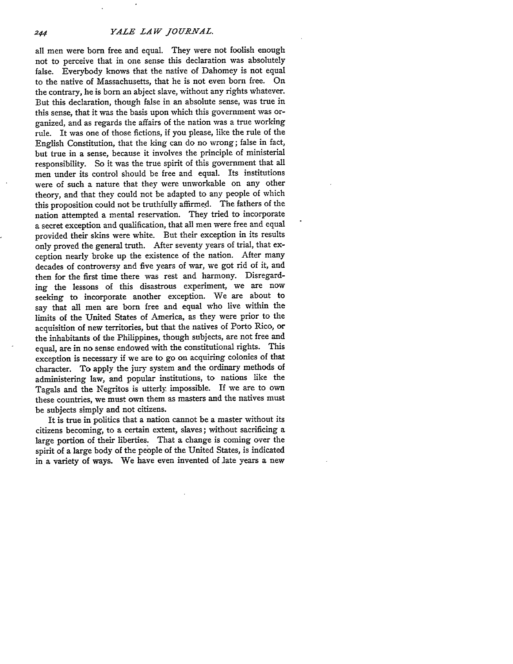all men were born free and equal. They were not foolish enough not to perceive that in one sense this declaration was absolutely false. Everybody knows that the native of Dahomey is not equal to the native of Massachusetts, that he is not even born free. On the contrary, he is born an abject slave, without any rights whatever. But this declaration, though false in an absolute sense, was true in this sense, that it was the basis upon which this government was organized, and as regards the affairs of the nation was a true working rule. It was one of those fictions, if you please, like the rule of the English Constitution, that the king can do no wrong; false in fact, but true in a sense, because it involves the principle of ministerial responsibility. So it was the true spirit of this government that all men under its control should be free and equal. Its institutions were of such a nature that they were unworkable on any other theory, and that they could not be adapted to any people of which this proposition could not be truthfully affirmed. The fathers of the nation attempted a mental reservation. They tried to incorporate a secret exception and qualification, that all men were free and equal provided their skins were white. But their exception in its results only proved the general truth. After seventy years of trial, that exception nearly broke up the existence of the nation. After many decades of controversy and five years of war, we got rid of it, and then for the first time there was rest and harmony. Disregarding the lessons of this disastrous experiment, we are now seeking to incorporate another exception. We are about to say that all men are born free and equal who live within the limits of the United States of America, as they were prior to the acquisition of new territories, but that the natives of Porto Rico, or the inhabitants of the Philippines, though subjects, are not free and equal, are in no sense endowed with the constitutional rights. This exception is necessary if we are to go on acquiring colonies of that character. To apply the jury system and the ordinary methods of administering law, and popular institutions, to nations like the Tagals and the Negritos is utterly impossible. If we are to own these countries, we must own them as masters and the natives must be subjects simply and not citizens.

It is true in politics that a nation cannot be a master without its citizens becoming, to a certain extent, slaves; without sacrificing a large portion of their liberties. That a change is coming over the spirit of a large body of the people of the United States, is indicated in a variety of ways. We have even invented of late years a new